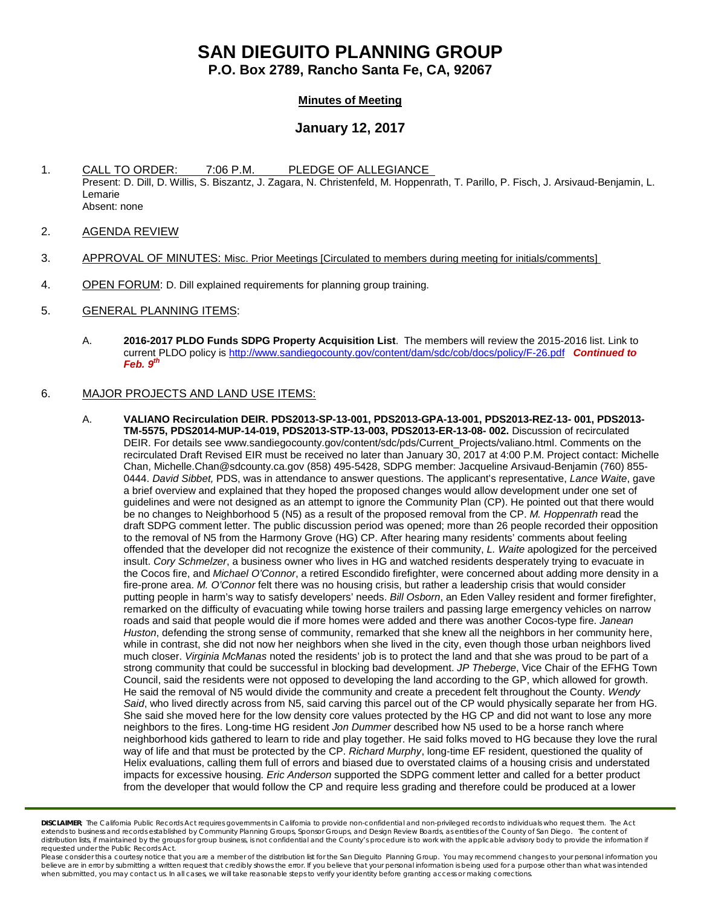# **SAN DIEGUITO PLANNING GROUP**

**P.O. Box 2789, Rancho Santa Fe, CA, 92067**

## **Minutes of Meeting**

# **January 12, 2017**

- 1. CALL TO ORDER: 7:06 P.M. PLEDGE OF ALLEGIANCE Present: D. Dill, D. Willis, S. Biszantz, J. Zagara, N. Christenfeld, M. Hoppenrath, T. Parillo, P. Fisch, J. Arsivaud-Benjamin, L. Lemarie Absent: none
- 2. AGENDA REVIEW
- 3. APPROVAL OF MINUTES: Misc. Prior Meetings [Circulated to members during meeting for initials/comments]
- 4. OPEN FORUM: D. Dill explained requirements for planning group training.
- 5. GENERAL PLANNING ITEMS:
	- A. **2016-2017 PLDO Funds SDPG Property Acquisition List**. The members will review the 2015-2016 list. Link to current PLDO policy is<http://www.sandiegocounty.gov/content/dam/sdc/cob/docs/policy/F-26.pdf> *Continued to Feb. 9th*

### 6. MAJOR PROJECTS AND LAND USE ITEMS:

A. **VALIANO Recirculation DEIR. PDS2013-SP-13-001, PDS2013-GPA-13-001, PDS2013-REZ-13- 001, PDS2013- TM-5575, PDS2014-MUP-14-019, PDS2013-STP-13-003, PDS2013-ER-13-08- 002.** Discussion of recirculated DEIR. For details see [www.sandiegocounty.gov/content/sdc/pds/Current\\_Projects/valiano.html.](http://www.sandiegocounty.gov/content/sdc/pds/Current_Projects/valiano.html) Comments on the recirculated Draft Revised EIR must be received no later than January 30, 2017 at 4:00 P.M. Project contact: Michelle Chan[, Michelle.Chan@sdcounty.ca.gov](mailto:Michelle.Chan@sdcounty.ca.gov) (858) 495-5428, SDPG member: Jacqueline Arsivaud-Benjamin (760) 855- 0444. *David Sibbet,* PDS, was in attendance to answer questions. The applicant's representative, *Lance Waite*, gave a brief overview and explained that they hoped the proposed changes would allow development under one set of guidelines and were not designed as an attempt to ignore the Community Plan (CP). He pointed out that there would be no changes to Neighborhood 5 (N5) as a result of the proposed removal from the CP. *M. Hoppenrath* read the draft SDPG comment letter. The public discussion period was opened; more than 26 people recorded their opposition to the removal of N5 from the Harmony Grove (HG) CP. After hearing many residents' comments about feeling offended that the developer did not recognize the existence of their community, *L. Waite* apologized for the perceived insult. *Cory Schmelzer*, a business owner who lives in HG and watched residents desperately trying to evacuate in the Cocos fire, and *Michael O'Connor*, a retired Escondido firefighter, were concerned about adding more density in a fire-prone area. *M. O'Connor* felt there was no housing crisis, but rather a leadership crisis that would consider putting people in harm's way to satisfy developers' needs. *Bill Osborn*, an Eden Valley resident and former firefighter, remarked on the difficulty of evacuating while towing horse trailers and passing large emergency vehicles on narrow roads and said that people would die if more homes were added and there was another Cocos-type fire. *Janean Huston*, defending the strong sense of community, remarked that she knew all the neighbors in her community here, while in contrast, she did not now her neighbors when she lived in the city, even though those urban neighbors lived much closer. *Virginia McManas* noted the residents' job is to protect the land and that she was proud to be part of a strong community that could be successful in blocking bad development. *JP Theberge*, Vice Chair of the EFHG Town Council, said the residents were not opposed to developing the land according to the GP, which allowed for growth. He said the removal of N5 would divide the community and create a precedent felt throughout the County. *Wendy Said*, who lived directly across from N5, said carving this parcel out of the CP would physically separate her from HG. She said she moved here for the low density core values protected by the HG CP and did not want to lose any more neighbors to the fires. Long-time HG resident *Jon Dummer* described how N5 used to be a horse ranch where neighborhood kids gathered to learn to ride and play together. He said folks moved to HG because they love the rural way of life and that must be protected by the CP. *Richard Murphy*, long-time EF resident, questioned the quality of Helix evaluations, calling them full of errors and biased due to overstated claims of a housing crisis and understated impacts for excessive housing*. Eric Anderson* supported the SDPG comment letter and called for a better product from the developer that would follow the CP and require less grading and therefore could be produced at a lower

*DISCLAIMER; The California Public Records Act requires governments in California to provide non-confidential and non-privileged records to individuals who request them. The Act extends to business and records established by Community Planning Groups, Sponsor Groups, and Design Review Boards, as entities of the County of San Diego. The content of*  distribution lists, if maintained by the groups for group business, is not confidential and the County's procedure is to work with the applicable advisory body to provide the information if *requested under the Public Records Act.*

Please consider this a courtesy notice that you are a member of the distribution list for the San Dieguito Planning Group. You may recommend changes to your personal information you believe are in error by submitting a written request that credibly shows the error. If you believe that your personal information is being used for a purpose other than what was intended<br>when submitted, you may contact us.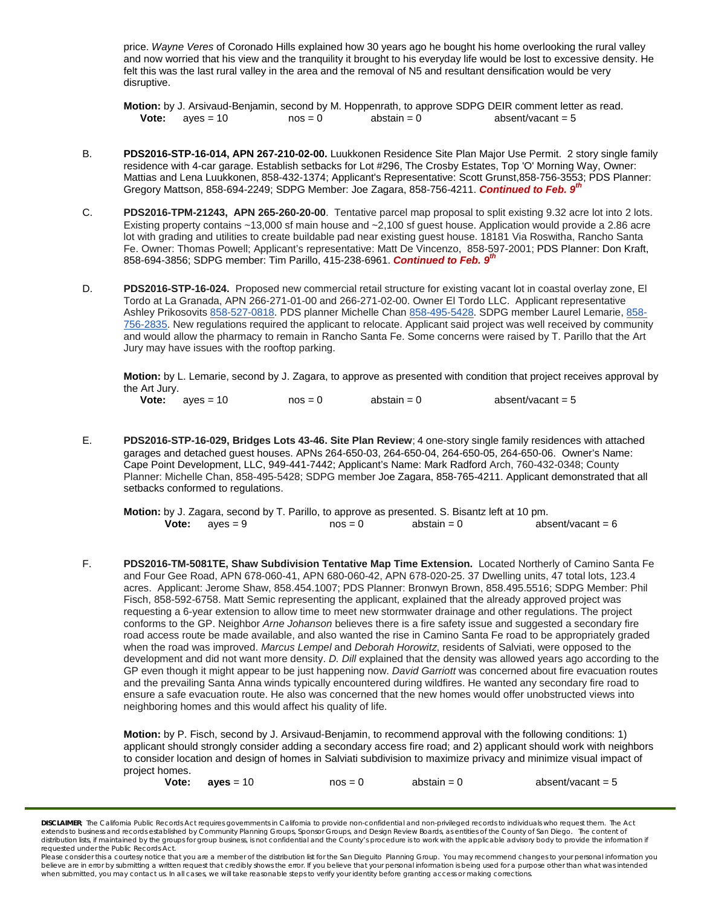price. *Wayne Veres* of Coronado Hills explained how 30 years ago he bought his home overlooking the rural valley and now worried that his view and the tranquility it brought to his everyday life would be lost to excessive density. He felt this was the last rural valley in the area and the removal of N5 and resultant densification would be very disruptive.

**Motion:** by J. Arsivaud-Benjamin, second by M. Hoppenrath, to approve SDPG DEIR comment letter as read.<br>**Vote:** ayes = 10 nos = 0 abstain = 0 absent/vacant = 5 absent/vacant = 5

- B. **PDS2016-STP-16-014, APN 267-210-02-00.** Luukkonen Residence Site Plan Major Use Permit. 2 story single family residence with 4-car garage. Establish setbacks for Lot #296, The Crosby Estates, Top 'O' Morning Way, Owner: Mattias and Lena Luukkonen, [858-432-1374;](tel:858-432-1374) Applicant's Representative: Scott Gruns[t,858-756-3553;](tel:858-756-3553) PDS Planner: Gregory Mattson, [858-694-2249;](tel:858-694-2249) SDPG Member: Joe Zagara, [858-756-4211.](tel:858-756-4211) *Continued to Feb. 9th*
- C. **PDS2016-TPM-21243, APN 265-260-20-00**. Tentative parcel map proposal to split existing 9.32 acre lot into 2 lots. Existing property contains ~13,000 sf main house and ~2,100 sf guest house. Application would provide a 2.86 acre lot with grading and utilities to create buildable pad near existing guest house. 18181 Via Roswitha, Rancho Santa Fe. Owner: Thomas Powell; Applicant's representative: Matt De Vincenzo, 858-597-2001; PDS Planner: Don Kraft, 858-694-3856; SDPG member: Tim Parillo[, 415-238-6961.](tel:415-238-6961) *Continued to Feb. 9th*
- D. **PDS2016-STP-16-024.** Proposed new commercial retail structure for existing vacant lot in coastal overlay zone, El Tordo at La Granada, APN 266-271-01-00 and 266-271-02-00. Owner El Tordo LLC. Applicant representative Ashley Prikosovits [858-527-0818.](tel:858-527-0818) PDS planner Michelle Chan [858-495-5428.](tel:858-495-5428) SDPG member Laurel Lemarie, [858-](tel:858-756-2835) [756-2835.](tel:858-756-2835) New regulations required the applicant to relocate. Applicant said project was well received by community and would allow the pharmacy to remain in Rancho Santa Fe. Some concerns were raised by T. Parillo that the Art Jury may have issues with the rooftop parking.

**Motion:** by L. Lemarie, second by J. Zagara, to approve as presented with condition that project receives approval by the Art Jury.

- **Vote:** ayes = 10 nos = 0 abstain = 0 absent/vacant = 5
- E. **PDS2016-STP-16-029, Bridges Lots 43-46. Site Plan Review**; 4 one-story single family residences with attached garages and detached guest houses. APNs 264-650-03, 264-650-04, 264-650-05, 264-650-06. Owner's Name: Cape Point Development, LLC, [949-441-7442;](tel:949-441-7442) Applicant's Name: Mark Radford Arch, [760-432-0348;](tel:760-432-0348) County Planner: Michelle Chan, [858-495-5428;](tel:858-495-5428) SDPG member Joe Zagara, [858-765-4211.](tel:(858)%20765-4211) Applicant demonstrated that all setbacks conformed to regulations.
	- **Motion:** by J. Zagara, second by T. Parillo, to approve as presented. S. Bisantz left at 10 pm.<br>**Vote:** ayes = 9 mos = 0 abstain = 0 abstain = 0 absent/vacant = 6
- F. **PDS2016-TM-5081TE, Shaw Subdivision Tentative Map Time Extension.** Located Northerly of Camino Santa Fe and Four Gee Road, APN 678-060-41, APN 680-060-42, APN 678-020-25. 37 Dwelling units, 47 total lots, 123.4 acres. Applicant: Jerome Shaw, 858.454.1007; PDS Planner: Bronwyn Brown, 858.495.5516; SDPG Member: Phil Fisch, 858-592-6758. Matt Semic representing the applicant, explained that the already approved project was requesting a 6-year extension to allow time to meet new stormwater drainage and other regulations. The project conforms to the GP. Neighbor *Arne Johanson* believes there is a fire safety issue and suggested a secondary fire road access route be made available, and also wanted the rise in Camino Santa Fe road to be appropriately graded when the road was improved. *Marcus Lempel* and *Deborah Horowitz*, residents of Salviati, were opposed to the development and did not want more density. *D. Dill* explained that the density was allowed years ago according to the GP even though it might appear to be just happening now. *David Garriott* was concerned about fire evacuation routes and the prevailing Santa Anna winds typically encountered during wildfires. He wanted any secondary fire road to ensure a safe evacuation route. He also was concerned that the new homes would offer unobstructed views into neighboring homes and this would affect his quality of life.

**Motion:** by P. Fisch, second by J. Arsivaud-Benjamin, to recommend approval with the following conditions: 1) applicant should strongly consider adding a secondary access fire road; and 2) applicant should work with neighbors to consider location and design of homes in Salviati subdivision to maximize privacy and minimize visual impact of project homes.

| Vote: | aves = $10$ | $nos = 0$ | abstain $= 0$ | absent/vacant = $5$ |
|-------|-------------|-----------|---------------|---------------------|
|-------|-------------|-----------|---------------|---------------------|

**DISCLAIMER**; The California Public Records Act requires governments in California to provide non-confidential and non-privileged records to individuals who request them. The Act *extends to business and records established by Community Planning Groups, Sponsor Groups, and Design Review Boards, as entities of the County of San Diego. The content of*  distribution lists, if maintained by the groups for group business, is not confidential and the County's procedure is to work with the applicable advisory body to provide the information if *requested under the Public Records Act.*

*Please consider this a courtesy notice that you are a member of the distribution list for the San Dieguito Planning Group. You may recommend changes to your personal information you*  believe are in error by submitting a written request that credibly shows the error. If you believe that your personal information is being used for a purpose other than what was intended<br>when submitted, you may contact us.